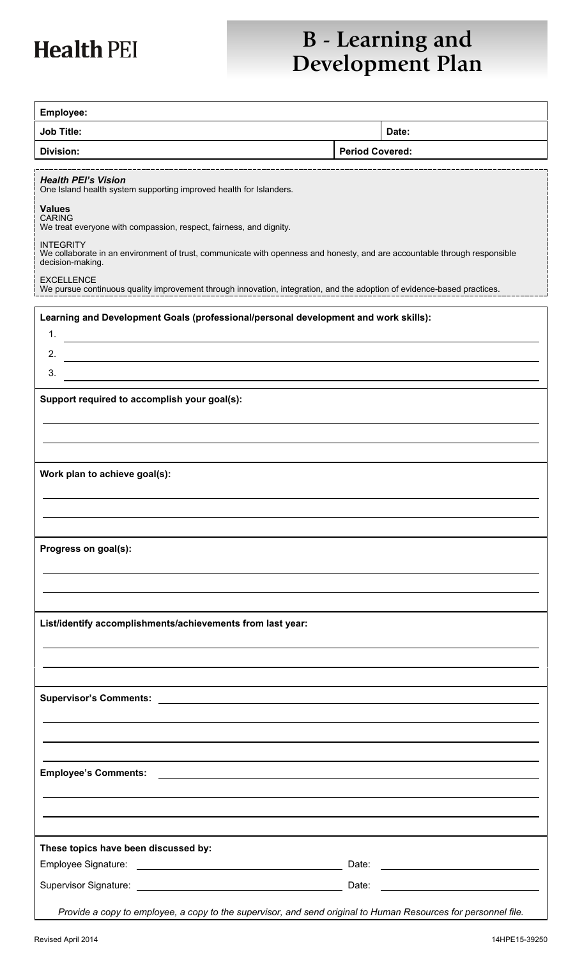# **Health PEI**

## **B** - Learning and **Development Plan**

| Employee:                                                                                                                                                         |                        |       |
|-------------------------------------------------------------------------------------------------------------------------------------------------------------------|------------------------|-------|
| <b>Job Title:</b>                                                                                                                                                 |                        | Date: |
| <b>Division:</b>                                                                                                                                                  | <b>Period Covered:</b> |       |
|                                                                                                                                                                   |                        |       |
| <b>Health PEI's Vision</b><br>One Island health system supporting improved health for Islanders.                                                                  |                        |       |
| <b>Values</b><br><b>CARING</b><br>We treat everyone with compassion, respect, fairness, and dignity.                                                              |                        |       |
| <b>INTEGRITY</b><br>We collaborate in an environment of trust, communicate with openness and honesty, and are accountable through responsible<br>decision-making. |                        |       |
| <b>EXCELLENCE</b><br>We pursue continuous quality improvement through innovation, integration, and the adoption of evidence-based practices.                      |                        |       |
| Learning and Development Goals (professional/personal development and work skills):<br>1.                                                                         |                        |       |
| 2.                                                                                                                                                                |                        |       |
| 3.                                                                                                                                                                |                        |       |
| Support required to accomplish your goal(s):                                                                                                                      |                        |       |
|                                                                                                                                                                   |                        |       |
|                                                                                                                                                                   |                        |       |
| Work plan to achieve goal(s):                                                                                                                                     |                        |       |
|                                                                                                                                                                   |                        |       |
| Progress on goal(s):                                                                                                                                              |                        |       |
|                                                                                                                                                                   |                        |       |
|                                                                                                                                                                   |                        |       |
| List/identify accomplishments/achievements from last year:                                                                                                        |                        |       |
|                                                                                                                                                                   |                        |       |
|                                                                                                                                                                   |                        |       |
|                                                                                                                                                                   |                        |       |
|                                                                                                                                                                   |                        |       |
| <b>Employee's Comments:</b>                                                                                                                                       |                        |       |
|                                                                                                                                                                   |                        |       |
|                                                                                                                                                                   |                        |       |
| These topics have been discussed by:                                                                                                                              |                        |       |
|                                                                                                                                                                   |                        |       |
| Provide a copy to employee, a copy to the supervisor, and send original to Human Resources for personnel file.                                                    |                        |       |